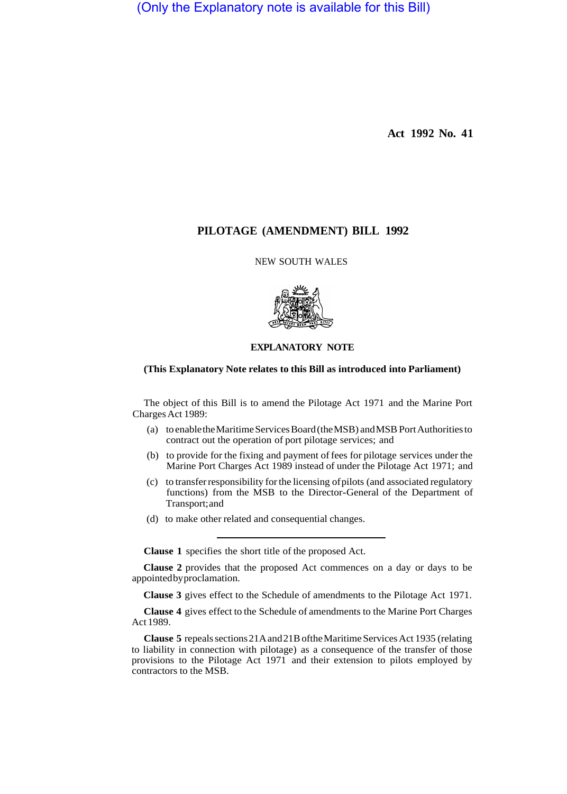(Only the Explanatory note is available for this Bill)

**Act 1992 No. 41** 

# **PILOTAGE (AMENDMENT) BILL 1992**

NEW SOUTH WALES



## **EXPLANATORY NOTE**

### **(This Explanatory Note relates to this Bill as introduced into Parliament)**

The object of this Bill is to amend the Pilotage Act 1971 and the Marine Port Charges Act 1989:

- (a) to enable the Maritime Services Board (the MSB) and MSB Port Authorities to contract out the operation of port pilotage services; and
- (b) to provide for the fixing and payment of fees for pilotage services under the Marine Port Charges Act 1989 instead of under the Pilotage Act 1971; and
- (c) to transfer responsibility for the licensing of pilots (and associated regulatory functions) from the MSB to the Director-General of the Department of Transport; and
- (d) to make other related and consequential changes.

**Clause 1** specifies the short title of the proposed Act.

**Clause 2** provides that the proposed Act commences on a day or days to be appointed by proclamation.

**Clause 3** gives effect to the Schedule of amendments to the Pilotage Act 1971.

**Clause 4** gives effect to the Schedule of amendments to the Marine Port Charges Act 1989.

**Clause 5** repeals sections 21A and 21B of the Maritime Services Act 1935 (relating to liability in connection with pilotage) as a consequence of the transfer of those provisions to the Pilotage Act 1971 and their extension to pilots employed by contractors to the MSB.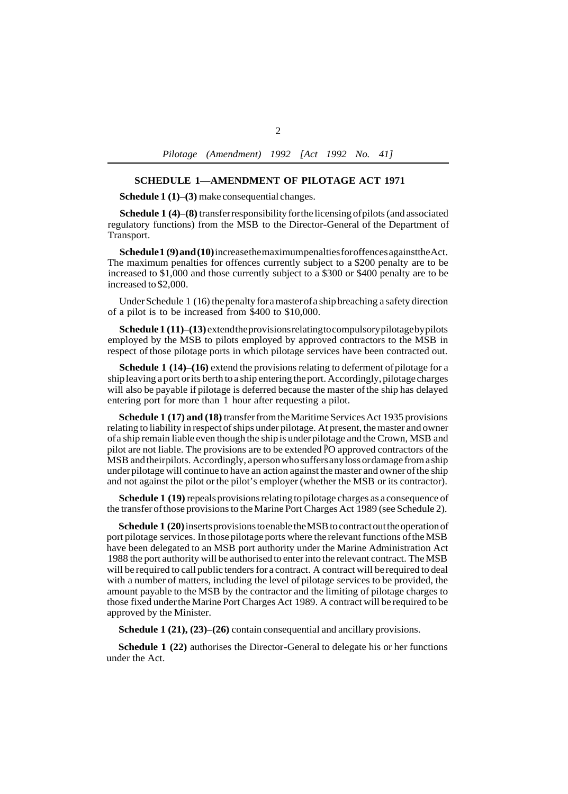#### **SCHEDULE 1—AMENDMENT OF PILOTAGE ACT 1971**

**Schedule 1 (1)–(3)** make consequential changes.

**Schedule 1 (4)–(8)** transfer responsibility for the licensing of pilots (and associated regulatory functions) from the MSB to the Director-General of the Department of Transport.

**Schedule 1 (9) and (10)** increase the maximum penalties for offences against the Act. The maximum penalties for offences currently subject to a \$200 penalty are to be increased to \$1,000 and those currently subject to a \$300 or \$400 penalty are to be increased to \$2,000.

Under Schedule 1 (16) the penalty for a master of a ship breaching a safety direction of a pilot is to be increased from \$400 to \$10,000.

**Schedule 1 (11)–(13)** extend the provisions relating to compulsory pilotage by pilots employed by the MSB to pilots employed by approved contractors to the MSB in respect of those pilotage ports in which pilotage services have been contracted out.

**Schedule 1 (14)–(16)** extend the provisions relating to deferment of pilotage for a ship leaving a port or its berth to a ship entering the port. Accordingly, pilotage charges will also be payable if pilotage is deferred because the master of the ship has delayed entering port for more than 1 hour after requesting a pilot.

**Schedule 1 (17) and (18)** transfer from the Maritime Services Act 1935 provisions relating to liability in respect of ships under pilotage. At present, the master and owner of a ship remain liable even though the ship is under pilotage and the Crown, MSB and pilot are not liable. The provisions are to be extended PO approved contractors of the MSB and their pilots. Accordingly, a person who suffers any loss or damage from a ship under pilotage will continue to have an action against the master and owner of the ship and not against the pilot or the pilot's employer (whether the MSB or its contractor).

**Schedule 1 (19)** repeals provisions relating to pilotage charges as a consequence of the transfer of those provisions to the Marine Port Charges Act 1989 (see Schedule 2).

**Schedule 1 (20)** inserts provisions to enable the MSB to contract out the operation of port pilotage services. In those pilotage ports where the relevant functions of the MSB have been delegated to an MSB port authority under the Marine Administration Act 1988 the port authority will be authorised to enter into the relevant contract. The MSB will be required to call public tenders for a contract. A contract will be required to deal with a number of matters, including the level of pilotage services to be provided, the amount payable to the MSB by the contractor and the limiting of pilotage charges to those fixed under the Marine Port Charges Act 1989. A contract will be required to be approved by the Minister.

**Schedule 1 (21), (23)–(26)** contain consequential and ancillary provisions.

**Schedule 1 (22)** authorises the Director-General to delegate his or her functions under the Act.